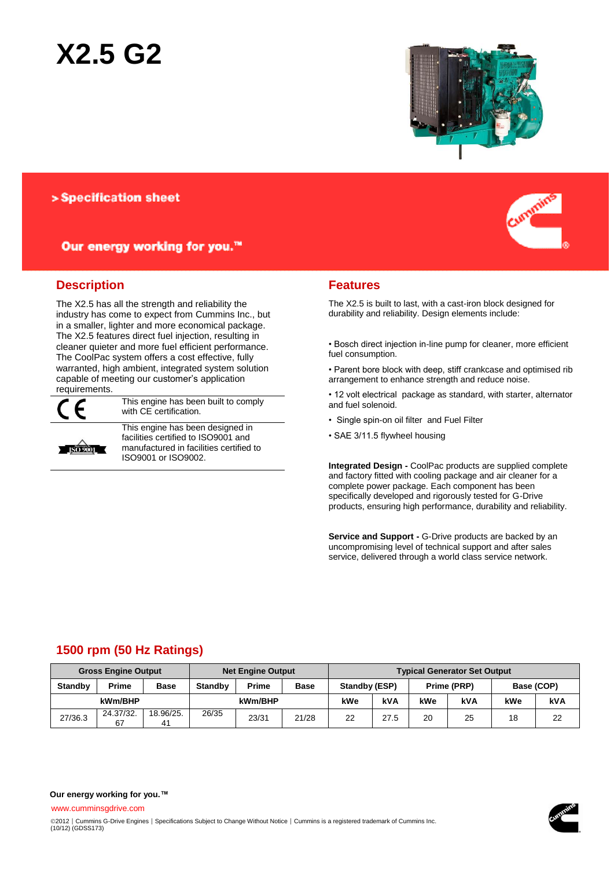# **X2.5 G2**



> Specification sheet

Our energy working for you.™

## **Description**

The X2.5 has all the strength and reliability the industry has come to expect from Cummins Inc., but in a smaller, lighter and more economical package. The X2.5 features direct fuel injection, resulting in cleaner quieter and more fuel efficient performance. The CoolPac system offers a cost effective, fully warranted, high ambient, integrated system solution capable of meeting our customer's application requirements.



This engine has been built to comply with CE certification.



This engine has been designed in facilities certified to ISO9001 and manufactured in facilities certified to ISO9001 or ISO9002.



### **Features**

The X2.5 is built to last, with a cast-iron block designed for durability and reliability. Design elements include:

• Bosch direct injection in-line pump for cleaner, more efficient fuel consumption.

• Parent bore block with deep, stiff crankcase and optimised rib arrangement to enhance strength and reduce noise.

• 12 volt electrical package as standard, with starter, alternator and fuel solenoid.

• Single spin-on oil filter and Fuel Filter

• SAE 3/11.5 flywheel housing

**Integrated Design -** CoolPac products are supplied complete and factory fitted with cooling package and air cleaner for a complete power package. Each component has been specifically developed and rigorously tested for G-Drive products, ensuring high performance, durability and reliability.

**Service and Support -** G-Drive products are backed by an uncompromising level of technical support and after sales service, delivered through a world class service network.

# **1500 rpm (50 Hz Ratings)**

| <b>Gross Engine Output</b> |                 |                 | <b>Net Engine Output</b> |              |             | <b>Typical Generator Set Output</b> |      |             |     |            |     |
|----------------------------|-----------------|-----------------|--------------------------|--------------|-------------|-------------------------------------|------|-------------|-----|------------|-----|
| <b>Standby</b>             | <b>Prime</b>    | <b>Base</b>     | <b>Standby</b>           | <b>Prime</b> | <b>Base</b> | <b>Standby (ESP)</b>                |      | Prime (PRP) |     | Base (COP) |     |
| kWm/BHP                    |                 |                 | kWm/BHP                  |              |             | kWe                                 | kVA  | kWe         | kVA | kWe        | kVA |
| 27/36.3                    | 24.37/32.<br>67 | 18.96/25.<br>41 | 26/35                    | 23/31        | 21/28       | 22                                  | 27.5 | 20          | 25  | 18         | 22  |